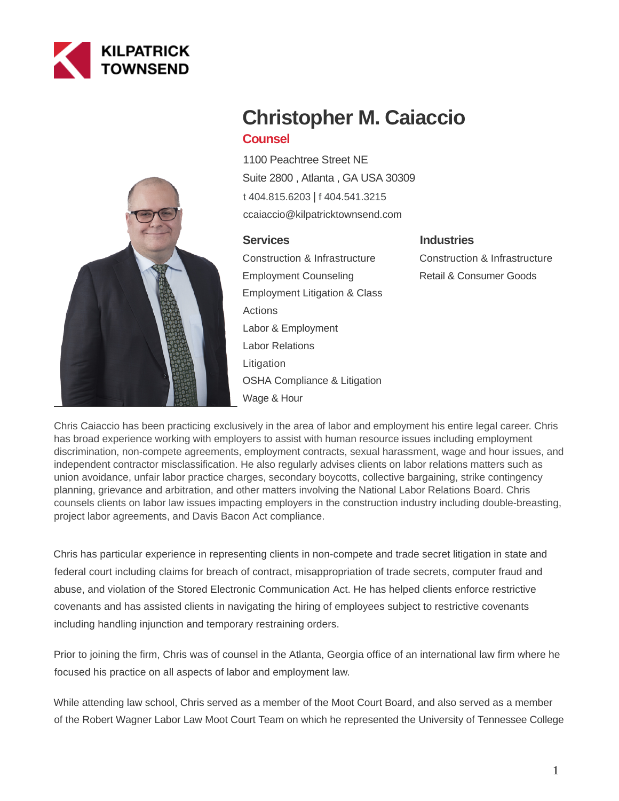



# **Christopher M. Caiaccio Counsel**

1100 Peachtree Street NE Suite 2800 , Atlanta , GA USA 30309 [t 404.815.6203](tel:404.815.6203) | [f 404.541.3215](fax:404.541.3215) ccaiaccio@kilpatricktownsend.com

## **Services**

Construction & Infrastructure Employment Counseling Employment Litigation & Class Actions Labor & Employment Labor Relations Litigation OSHA Compliance & Litigation Wage & Hour

# **Industries**

Construction & Infrastructure Retail & Consumer Goods

Chris Caiaccio has been practicing exclusively in the area of labor and employment his entire legal career. Chris has broad experience working with employers to assist with human resource issues including employment discrimination, non-compete agreements, employment contracts, sexual harassment, wage and hour issues, and independent contractor misclassification. He also regularly advises clients on labor relations matters such as union avoidance, unfair labor practice charges, secondary boycotts, collective bargaining, strike contingency planning, grievance and arbitration, and other matters involving the National Labor Relations Board. Chris counsels clients on labor law issues impacting employers in the construction industry including double-breasting, project labor agreements, and Davis Bacon Act compliance.

Chris has particular experience in representing clients in non-compete and trade secret litigation in state and federal court including claims for breach of contract, misappropriation of trade secrets, computer fraud and abuse, and violation of the Stored Electronic Communication Act. He has helped clients enforce restrictive covenants and has assisted clients in navigating the hiring of employees subject to restrictive covenants including handling injunction and temporary restraining orders.

Prior to joining the firm, Chris was of counsel in the Atlanta, Georgia office of an international law firm where he focused his practice on all aspects of labor and employment law.

While attending law school, Chris served as a member of the Moot Court Board, and also served as a member of the Robert Wagner Labor Law Moot Court Team on which he represented the University of Tennessee College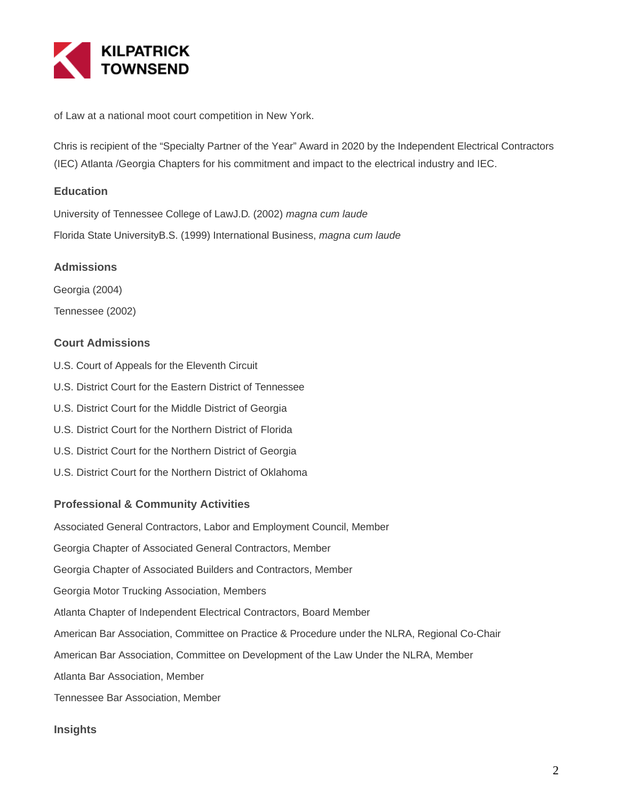

of Law at a national moot court competition in New York.

Chris is recipient of the "Specialty Partner of the Year" Award in 2020 by the Independent Electrical Contractors (IEC) Atlanta /Georgia Chapters for his commitment and impact to the electrical industry and IEC.

#### **Education**

University of Tennessee College of LawJ.D. (2002) magna cum laude Florida State UniversityB.S. (1999) International Business, magna cum laude

#### **Admissions**

Georgia (2004)

Tennessee (2002)

## **Court Admissions**

- U.S. Court of Appeals for the Eleventh Circuit
- U.S. District Court for the Eastern District of Tennessee
- U.S. District Court for the Middle District of Georgia
- U.S. District Court for the Northern District of Florida
- U.S. District Court for the Northern District of Georgia
- U.S. District Court for the Northern District of Oklahoma

#### **Professional & Community Activities**

Associated General Contractors, Labor and Employment Council, Member

Georgia Chapter of Associated General Contractors, Member

Georgia Chapter of Associated Builders and Contractors, Member

Georgia Motor Trucking Association, Members

Atlanta Chapter of Independent Electrical Contractors, Board Member

American Bar Association, Committee on Practice & Procedure under the NLRA, Regional Co-Chair

American Bar Association, Committee on Development of the Law Under the NLRA, Member

Atlanta Bar Association, Member

Tennessee Bar Association, Member

#### **Insights**